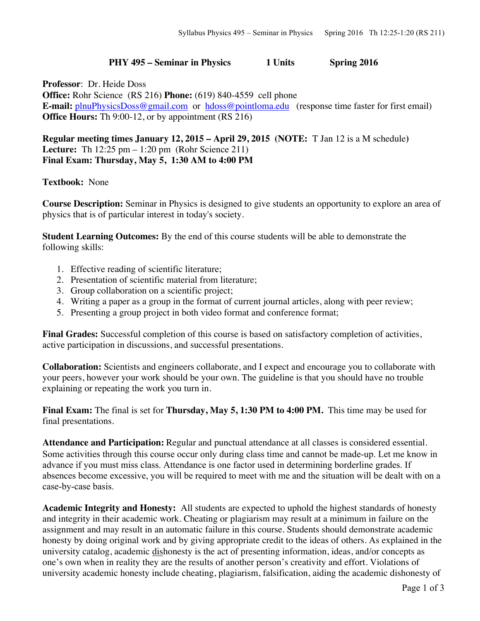## **PHY 495 – Seminar in Physics 1 Units Spring 2016**

**Professor**: Dr. Heide Doss **Office:** Rohr Science (RS 216) **Phone:** (619) 840-4559 cell phone **E-mail:** plnuPhysicsDoss@gmail.com or hdoss@pointloma.edu (response time faster for first email) **Office Hours:** Th 9:00-12, or by appointment (RS 216)

**Regular meeting times January 12, 2015 – April 29, 2015 (NOTE:** T Jan 12 is a M schedule**) Lecture:** Th 12:25 pm – 1:20 pm (Rohr Science 211) **Final Exam: Thursday, May 5, 1:30 AM to 4:00 PM** 

## **Textbook:** None

**Course Description:** Seminar in Physics is designed to give students an opportunity to explore an area of physics that is of particular interest in today's society.

**Student Learning Outcomes:** By the end of this course students will be able to demonstrate the following skills:

- 1. Effective reading of scientific literature;
- 2. Presentation of scientific material from literature;
- 3. Group collaboration on a scientific project;
- 4. Writing a paper as a group in the format of current journal articles, along with peer review;
- 5. Presenting a group project in both video format and conference format;

**Final Grades:** Successful completion of this course is based on satisfactory completion of activities, active participation in discussions, and successful presentations.

**Collaboration:** Scientists and engineers collaborate, and I expect and encourage you to collaborate with your peers, however your work should be your own. The guideline is that you should have no trouble explaining or repeating the work you turn in.

**Final Exam:** The final is set for **Thursday, May 5, 1:30 PM to 4:00 PM.** This time may be used for final presentations.

**Attendance and Participation:** Regular and punctual attendance at all classes is considered essential. Some activities through this course occur only during class time and cannot be made-up. Let me know in advance if you must miss class. Attendance is one factor used in determining borderline grades. If absences become excessive, you will be required to meet with me and the situation will be dealt with on a case-by-case basis.

**Academic Integrity and Honesty:** All students are expected to uphold the highest standards of honesty and integrity in their academic work. Cheating or plagiarism may result at a minimum in failure on the assignment and may result in an automatic failure in this course. Students should demonstrate academic honesty by doing original work and by giving appropriate credit to the ideas of others. As explained in the university catalog, academic dishonesty is the act of presenting information, ideas, and/or concepts as one's own when in reality they are the results of another person's creativity and effort. Violations of university academic honesty include cheating, plagiarism, falsification, aiding the academic dishonesty of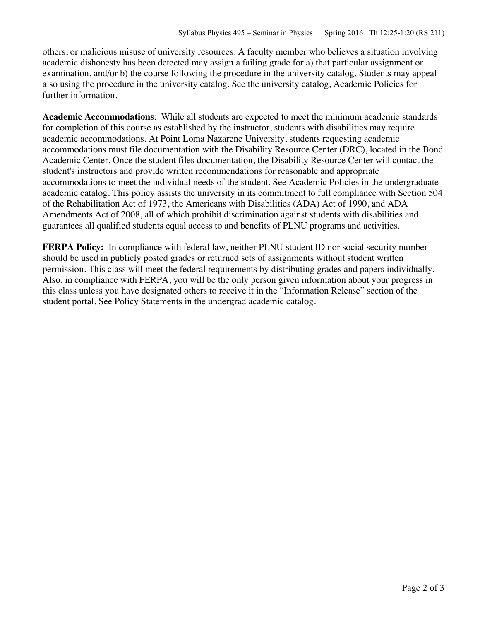others, or malicious misuse of university resources. A faculty member who believes a situation involving academic dishonesty has been detected may assign a failing grade for a) that particular assignment or examination, and/or b) the course following the procedure in the university catalog. Students may appeal also using the procedure in the university catalog. See the university catalog, Academic Policies for further information.

**Academic Accommodations**: While all students are expected to meet the minimum academic standards for completion of this course as established by the instructor, students with disabilities may require academic accommodations. At Point Loma Nazarene University, students requesting academic accommodations must file documentation with the Disability Resource Center (DRC), located in the Bond Academic Center. Once the student files documentation, the Disability Resource Center will contact the student's instructors and provide written recommendations for reasonable and appropriate accommodations to meet the individual needs of the student. See Academic Policies in the undergraduate academic catalog. This policy assists the university in its commitment to full compliance with Section 504 of the Rehabilitation Act of 1973, the Americans with Disabilities (ADA) Act of 1990, and ADA Amendments Act of 2008, all of which prohibit discrimination against students with disabilities and guarantees all qualified students equal access to and benefits of PLNU programs and activities.

**FERPA Policy:** In compliance with federal law, neither PLNU student ID nor social security number should be used in publicly posted grades or returned sets of assignments without student written permission. This class will meet the federal requirements by distributing grades and papers individually. Also, in compliance with FERPA, you will be the only person given information about your progress in this class unless you have designated others to receive it in the "Information Release" section of the student portal. See Policy Statements in the undergrad academic catalog.